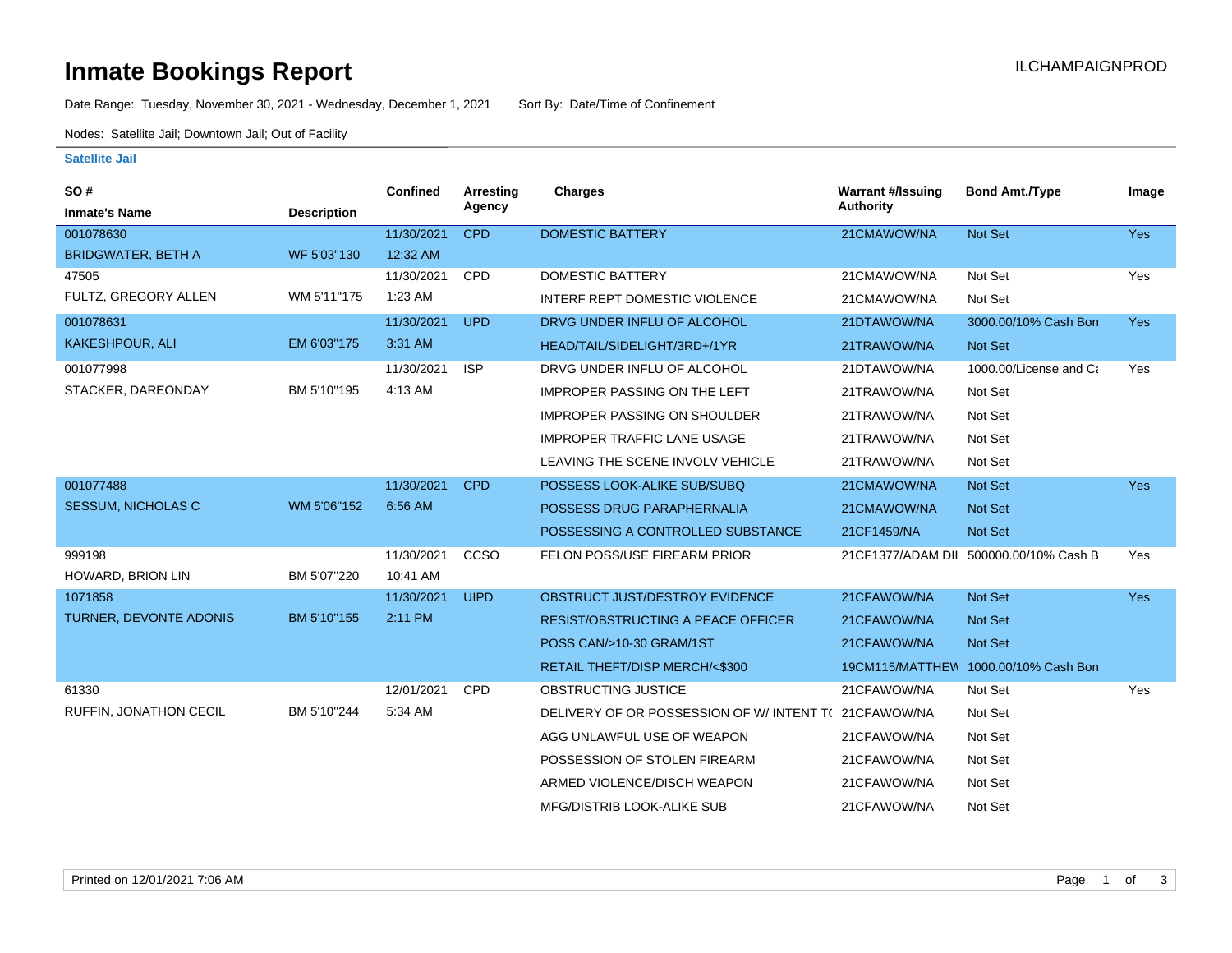# **Inmate Bookings Report Installation Control Control Control Control Control Control Control Control Control Control Control Control Control Control Control Control Control Control Control Control Control Control Control**

Date Range: Tuesday, November 30, 2021 - Wednesday, December 1, 2021 Sort By: Date/Time of Confinement

Nodes: Satellite Jail; Downtown Jail; Out of Facility

### **Satellite Jail**

| SO#                       |                    | Confined   | Arresting   | <b>Charges</b>                                      | <b>Warrant #/Issuing</b> | <b>Bond Amt./Type</b>                  | Image      |
|---------------------------|--------------------|------------|-------------|-----------------------------------------------------|--------------------------|----------------------------------------|------------|
| <b>Inmate's Name</b>      | <b>Description</b> |            | Agency      |                                                     | <b>Authority</b>         |                                        |            |
| 001078630                 |                    | 11/30/2021 | <b>CPD</b>  | <b>DOMESTIC BATTERY</b>                             | 21CMAWOW/NA              | <b>Not Set</b>                         | <b>Yes</b> |
| <b>BRIDGWATER, BETH A</b> | WF 5'03"130        | 12:32 AM   |             |                                                     |                          |                                        |            |
| 47505                     |                    | 11/30/2021 | CPD         | <b>DOMESTIC BATTERY</b>                             | 21CMAWOW/NA              | Not Set                                | Yes        |
| FULTZ, GREGORY ALLEN      | WM 5'11"175        | $1:23$ AM  |             | INTERF REPT DOMESTIC VIOLENCE                       | 21CMAWOW/NA              | Not Set                                |            |
| 001078631                 |                    | 11/30/2021 | <b>UPD</b>  | DRVG UNDER INFLU OF ALCOHOL                         | 21DTAWOW/NA              | 3000.00/10% Cash Bon                   | <b>Yes</b> |
| KAKESHPOUR, ALI           | EM 6'03"175        | 3:31 AM    |             | HEAD/TAIL/SIDELIGHT/3RD+/1YR                        | 21TRAWOW/NA              | Not Set                                |            |
| 001077998                 |                    | 11/30/2021 | <b>ISP</b>  | DRVG UNDER INFLU OF ALCOHOL                         | 21DTAWOW/NA              | 1000.00/License and Ca                 | Yes        |
| STACKER, DAREONDAY        | BM 5'10"195        | 4:13 AM    |             | <b>IMPROPER PASSING ON THE LEFT</b>                 | 21TRAWOW/NA              | Not Set                                |            |
|                           |                    |            |             | <b>IMPROPER PASSING ON SHOULDER</b>                 | 21TRAWOW/NA              | Not Set                                |            |
|                           |                    |            |             | <b>IMPROPER TRAFFIC LANE USAGE</b>                  | 21TRAWOW/NA              | Not Set                                |            |
|                           |                    |            |             | LEAVING THE SCENE INVOLV VEHICLE                    | 21TRAWOW/NA              | Not Set                                |            |
| 001077488                 |                    | 11/30/2021 | <b>CPD</b>  | POSSESS LOOK-ALIKE SUB/SUBQ                         | 21CMAWOW/NA              | <b>Not Set</b>                         | <b>Yes</b> |
| <b>SESSUM, NICHOLAS C</b> | WM 5'06"152        | 6:56 AM    |             | POSSESS DRUG PARAPHERNALIA                          | 21CMAWOW/NA              | <b>Not Set</b>                         |            |
|                           |                    |            |             | POSSESSING A CONTROLLED SUBSTANCE                   | 21CF1459/NA              | <b>Not Set</b>                         |            |
| 999198                    |                    | 11/30/2021 | CCSO        | FELON POSS/USE FIREARM PRIOR                        |                          | 21CF1377/ADAM DII 500000.00/10% Cash B | Yes        |
| HOWARD, BRION LIN         | BM 5'07"220        | 10:41 AM   |             |                                                     |                          |                                        |            |
| 1071858                   |                    | 11/30/2021 | <b>UIPD</b> | OBSTRUCT JUST/DESTROY EVIDENCE                      | 21CFAWOW/NA              | Not Set                                | <b>Yes</b> |
| TURNER, DEVONTE ADONIS    | BM 5'10"155        | 2:11 PM    |             | <b>RESIST/OBSTRUCTING A PEACE OFFICER</b>           | 21CFAWOW/NA              | <b>Not Set</b>                         |            |
|                           |                    |            |             | POSS CAN/>10-30 GRAM/1ST                            | 21CFAWOW/NA              | <b>Not Set</b>                         |            |
|                           |                    |            |             | RETAIL THEFT/DISP MERCH/<\$300                      |                          | 19CM115/MATTHEW 1000.00/10% Cash Bon   |            |
| 61330                     |                    | 12/01/2021 | <b>CPD</b>  | OBSTRUCTING JUSTICE                                 | 21CFAWOW/NA              | Not Set                                | Yes        |
| RUFFIN, JONATHON CECIL    | BM 5'10"244        | 5:34 AM    |             | DELIVERY OF OR POSSESSION OF W/INTENT T(21CFAWOW/NA |                          | Not Set                                |            |
|                           |                    |            |             | AGG UNLAWFUL USE OF WEAPON                          | 21CFAWOW/NA              | Not Set                                |            |
|                           |                    |            |             | POSSESSION OF STOLEN FIREARM                        | 21CFAWOW/NA              | Not Set                                |            |
|                           |                    |            |             | ARMED VIOLENCE/DISCH WEAPON                         | 21CFAWOW/NA              | Not Set                                |            |
|                           |                    |            |             | MFG/DISTRIB LOOK-ALIKE SUB                          | 21CFAWOW/NA              | Not Set                                |            |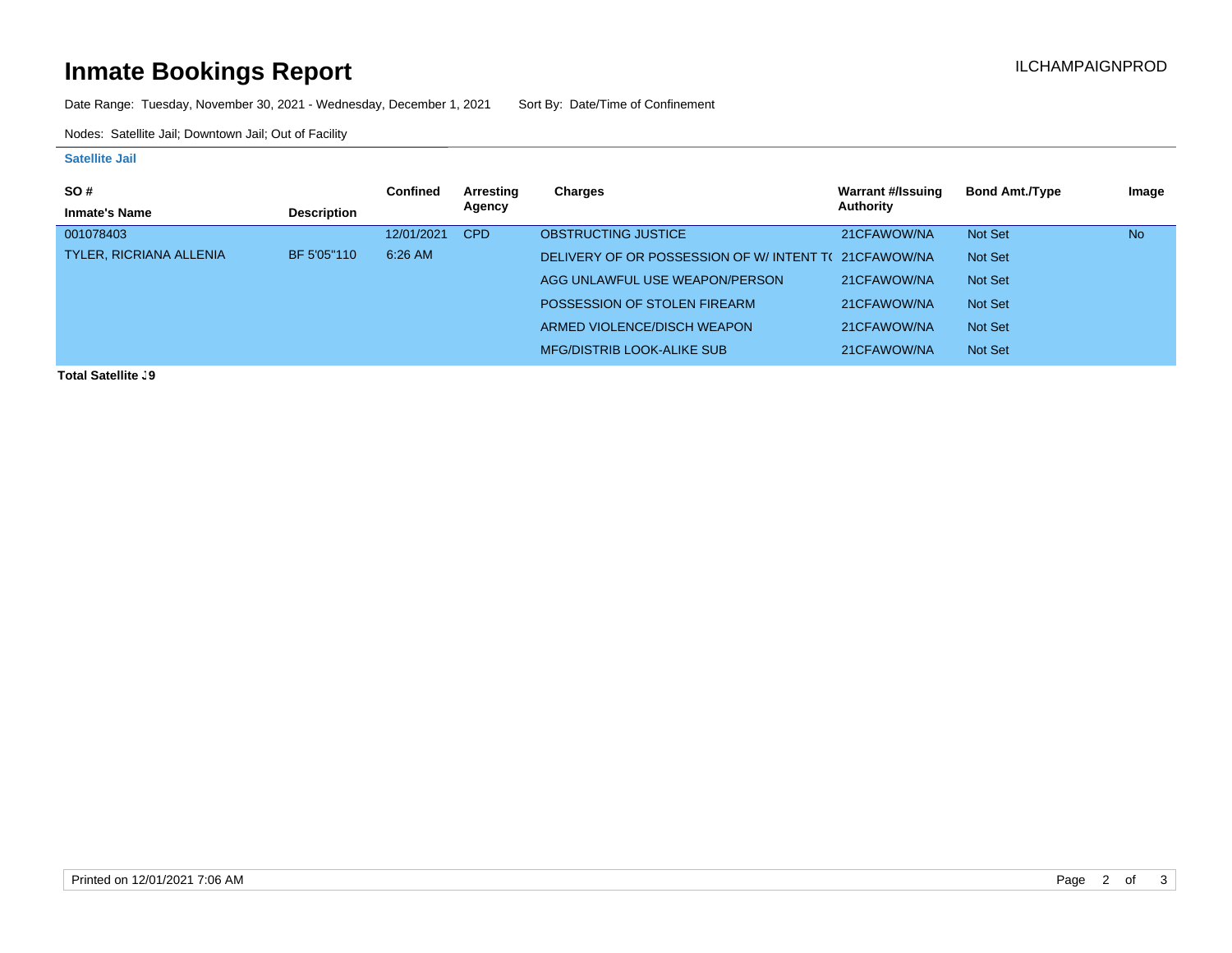# **Inmate Bookings Report Installation Control Control Control Control Control Control Control Control Control Control Control Control Control Control Control Control Control Control Control Control Control Control Control**

Date Range: Tuesday, November 30, 2021 - Wednesday, December 1, 2021 Sort By: Date/Time of Confinement

Nodes: Satellite Jail; Downtown Jail; Out of Facility

#### **Satellite Jail**

| <b>SO#</b>                     |                    | <b>Confined</b> | Arresting  | Charges                                             | <b>Warrant #/Issuing</b> | <b>Bond Amt./Type</b> | Image     |
|--------------------------------|--------------------|-----------------|------------|-----------------------------------------------------|--------------------------|-----------------------|-----------|
| <b>Inmate's Name</b>           | <b>Description</b> |                 | Agency     |                                                     | Authority                |                       |           |
| 001078403                      |                    | 12/01/2021      | <b>CPD</b> | <b>OBSTRUCTING JUSTICE</b>                          | 21CFAWOW/NA              | Not Set               | <b>No</b> |
| <b>TYLER, RICRIANA ALLENIA</b> | BF 5'05"110        | 6:26 AM         |            | DELIVERY OF OR POSSESSION OF W/INTENT T(21CFAWOW/NA |                          | Not Set               |           |
|                                |                    |                 |            | AGG UNLAWFUL USE WEAPON/PERSON                      | 21CFAWOW/NA              | Not Set               |           |
|                                |                    |                 |            | POSSESSION OF STOLEN FIREARM                        | 21CFAWOW/NA              | Not Set               |           |
|                                |                    |                 |            | ARMED VIOLENCE/DISCH WEAPON                         | 21CFAWOW/NA              | Not Set               |           |
|                                |                    |                 |            | <b>MFG/DISTRIB LOOK-ALIKE SUB</b>                   | 21CFAWOW/NA              | Not Set               |           |

**Total Satellite J9**